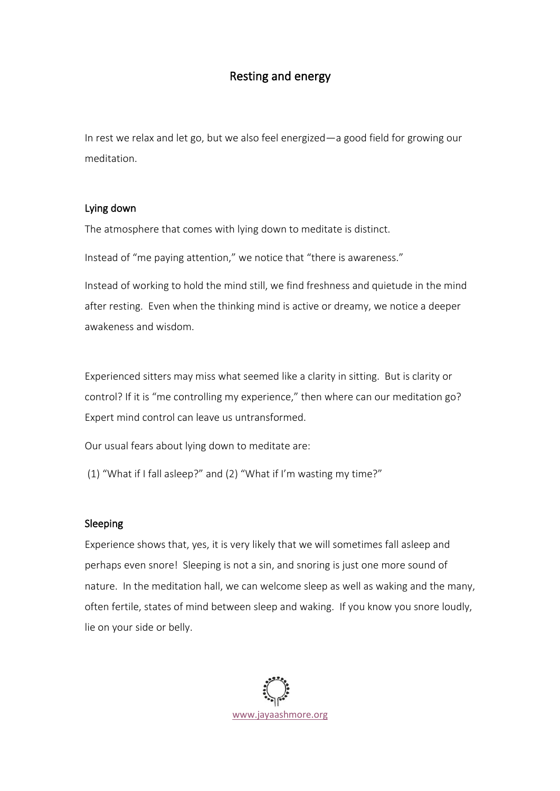## Resting and energy

In rest we relax and let go, but we also feel energized—a good field for growing our meditation.

## Lying down

The atmosphere that comes with lying down to meditate is distinct.

Instead of "me paying attention," we notice that "there is awareness."

Instead of working to hold the mind still, we find freshness and quietude in the mind after resting. Even when the thinking mind is active or dreamy, we notice a deeper awakeness and wisdom.

Experienced sitters may miss what seemed like a clarity in sitting. But is clarity or control? If it is "me controlling my experience," then where can our meditation go? Expert mind control can leave us untransformed.

Our usual fears about lying down to meditate are:

(1) "What if I fall asleep?" and (2) "What if I'm wasting my time?"

## Sleeping

Experience shows that, yes, it is very likely that we will sometimes fall asleep and perhaps even snore! Sleeping is not a sin, and snoring is just one more sound of nature. In the meditation hall, we can welcome sleep as well as waking and the many, often fertile, states of mind between sleep and waking. If you know you snore loudly, lie on your side or belly.